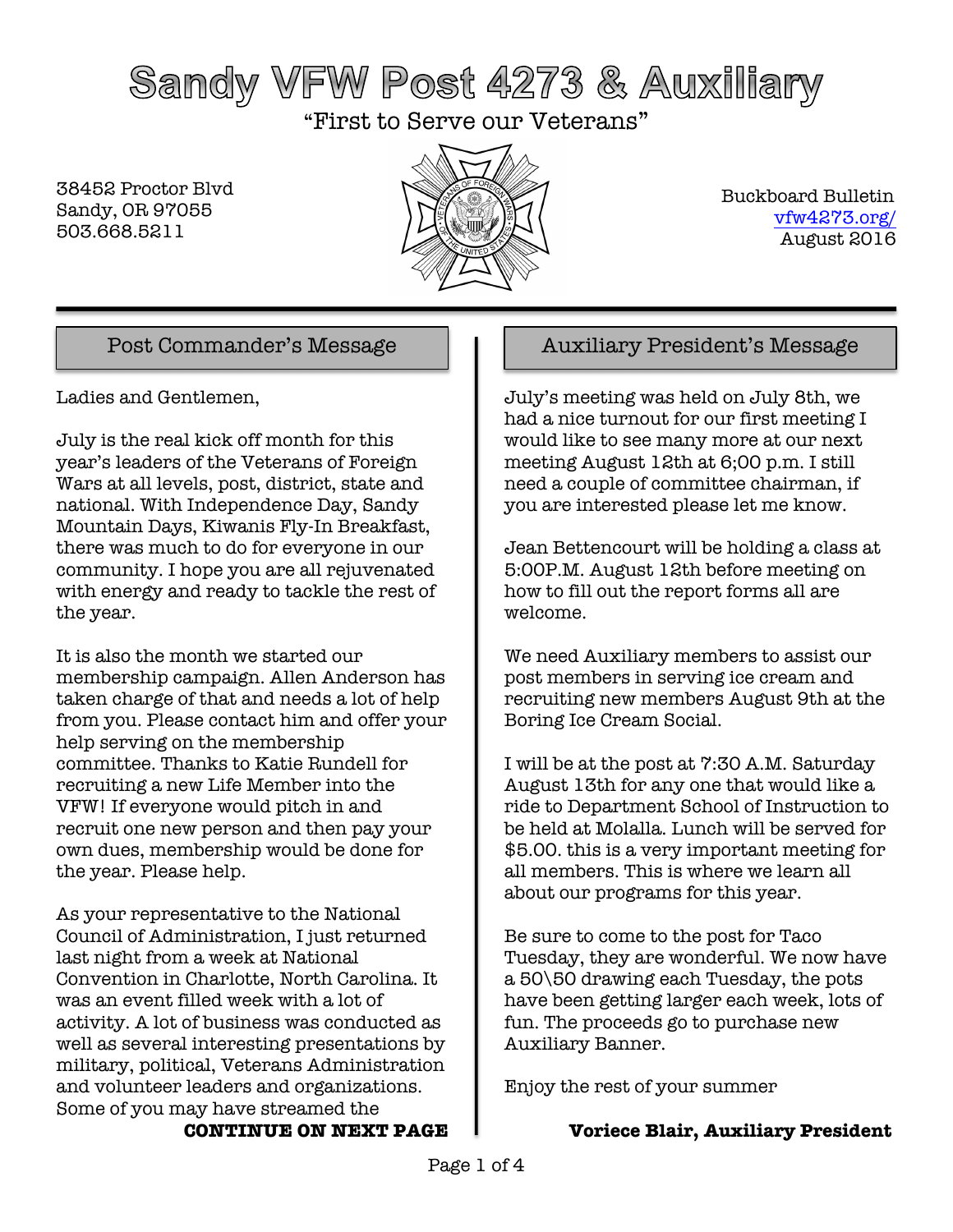# Sandy VFW Post 4273 & Auxiliary

"First to Serve our Veterans"

38452 Proctor Blvd Sandy, OR 97055 503.668.5211



 Buckboard Bulletin vfw4273.org/ August 2016

Ladies and Gentlemen,

July is the real kick off month for this year's leaders of the Veterans of Foreign Wars at all levels, post, district, state and national. With Independence Day, Sandy Mountain Days, Kiwanis Fly-In Breakfast, there was much to do for everyone in our community. I hope you are all rejuvenated with energy and ready to tackle the rest of the year.

It is also the month we started our membership campaign. Allen Anderson has taken charge of that and needs a lot of help from you. Please contact him and offer your help serving on the membership committee. Thanks to Katie Rundell for recruiting a new Life Member into the VFW! If everyone would pitch in and recruit one new person and then pay your own dues, membership would be done for the year. Please help.

As your representative to the National Council of Administration, I just returned last night from a week at National Convention in Charlotte, North Carolina. It was an event filled week with a lot of activity. A lot of business was conducted as well as several interesting presentations by military, political, Veterans Administration and volunteer leaders and organizations. Some of you may have streamed the **CONTINUE ON NEXT PAGE**

## Post Commander's Message  $\parallel$  | Auxiliary President's Message

July's meeting was held on July 8th, we had a nice turnout for our first meeting I would like to see many more at our next meeting August 12th at 6;00 p.m. I still need a couple of committee chairman, if you are interested please let me know.

Jean Bettencourt will be holding a class at 5:00P.M. August 12th before meeting on how to fill out the report forms all are welcome.

We need Auxiliary members to assist our post members in serving ice cream and recruiting new members August 9th at the Boring Ice Cream Social.

I will be at the post at 7:30 A.M. Saturday August 13th for any one that would like a ride to Department School of Instruction to be held at Molalla. Lunch will be served for \$5.00. this is a very important meeting for all members. This is where we learn all about our programs for this year.

Be sure to come to the post for Taco Tuesday, they are wonderful. We now have a 50\50 drawing each Tuesday, the pots have been getting larger each week, lots of fun. The proceeds go to purchase new Auxiliary Banner.

Enjoy the rest of your summer

## **Voriece Blair, Auxiliary President**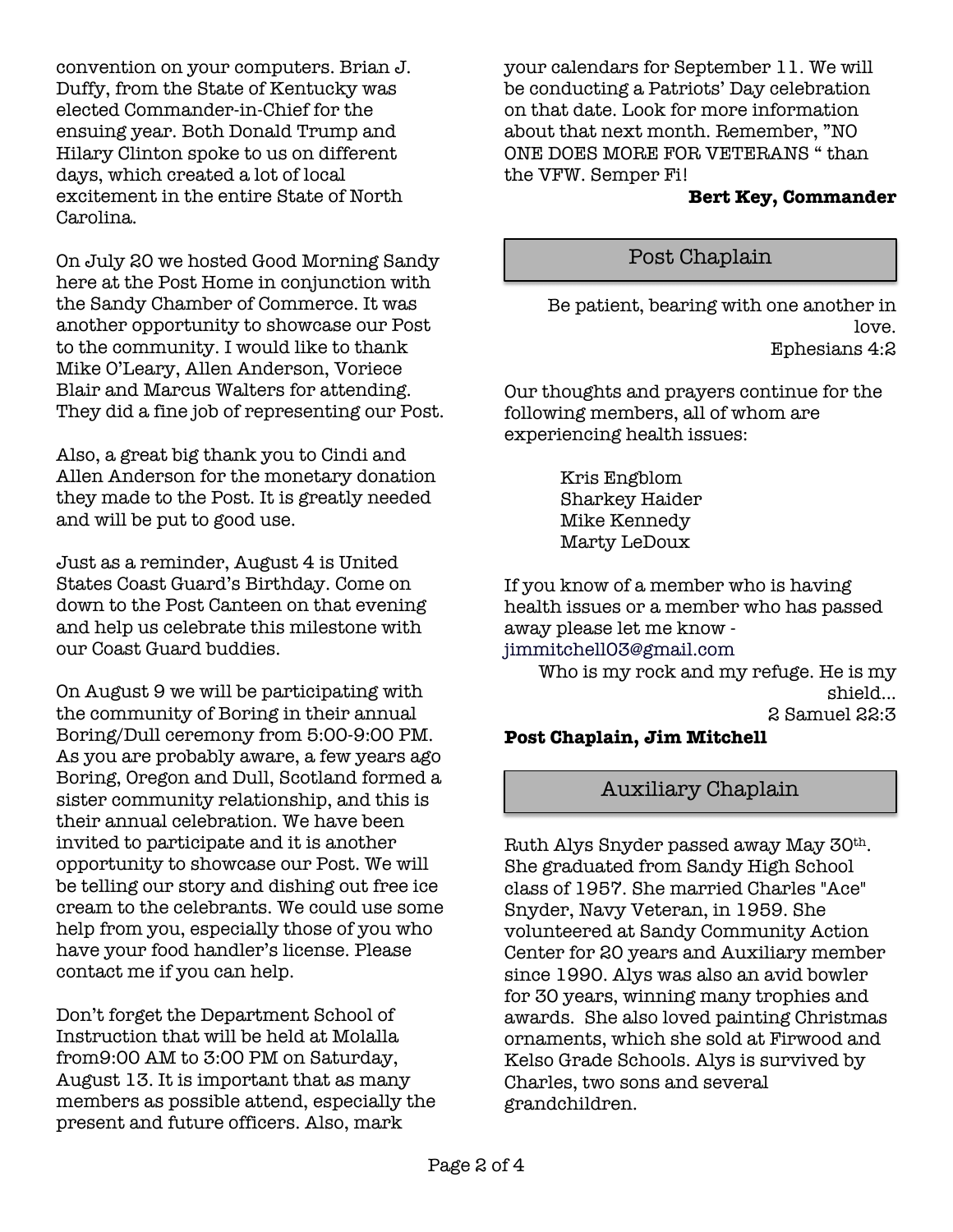convention on your computers. Brian J. Duffy, from the State of Kentucky was elected Commander-in-Chief for the ensuing year. Both Donald Trump and Hilary Clinton spoke to us on different days, which created a lot of local excitement in the entire State of North Carolina.

On July 20 we hosted Good Morning Sandy here at the Post Home in conjunction with the Sandy Chamber of Commerce. It was another opportunity to showcase our Post to the community. I would like to thank Mike O'Leary, Allen Anderson, Voriece Blair and Marcus Walters for attending. They did a fine job of representing our Post.

Also, a great big thank you to Cindi and Allen Anderson for the monetary donation they made to the Post. It is greatly needed and will be put to good use.

Just as a reminder, August 4 is United States Coast Guard's Birthday. Come on down to the Post Canteen on that evening and help us celebrate this milestone with our Coast Guard buddies.

On August 9 we will be participating with the community of Boring in their annual Boring/Dull ceremony from 5:00-9:00 PM. As you are probably aware, a few years ago Boring, Oregon and Dull, Scotland formed a sister community relationship, and this is their annual celebration. We have been invited to participate and it is another opportunity to showcase our Post. We will be telling our story and dishing out free ice cream to the celebrants. We could use some help from you, especially those of you who have your food handler's license. Please contact me if you can help.

Don't forget the Department School of Instruction that will be held at Molalla from9:00 AM to 3:00 PM on Saturday, August 13. It is important that as many members as possible attend, especially the present and future officers. Also, mark

your calendars for September 11. We will be conducting a Patriots' Day celebration on that date. Look for more information about that next month. Remember, "NO ONE DOES MORE FOR VETERANS " than the VFW. Semper Fi!

### **Bert Key, Commander**

## Post Chaplain

Be patient, bearing with one another in love. Ephesians 4:2

Our thoughts and prayers continue for the following members, all of whom are experiencing health issues:

> Kris Engblom Sharkey Haider Mike Kennedy Marty LeDoux

If you know of a member who is having health issues or a member who has passed away please let me know -

jimmitchell03@gmail.com

Who is my rock and my refuge. He is my shield... 2 Samuel 22:3

## **Post Chaplain, Jim Mitchell**

## Auxiliary Chaplain

Ruth Alys Snyder passed away May 30th. She graduated from Sandy High School class of 1957. She married Charles "Ace" Snyder, Navy Veteran, in 1959. She volunteered at Sandy Community Action Center for 20 years and Auxiliary member since 1990. Alys was also an avid bowler for 30 years, winning many trophies and awards. She also loved painting Christmas ornaments, which she sold at Firwood and Kelso Grade Schools. Alys is survived by Charles, two sons and several grandchildren.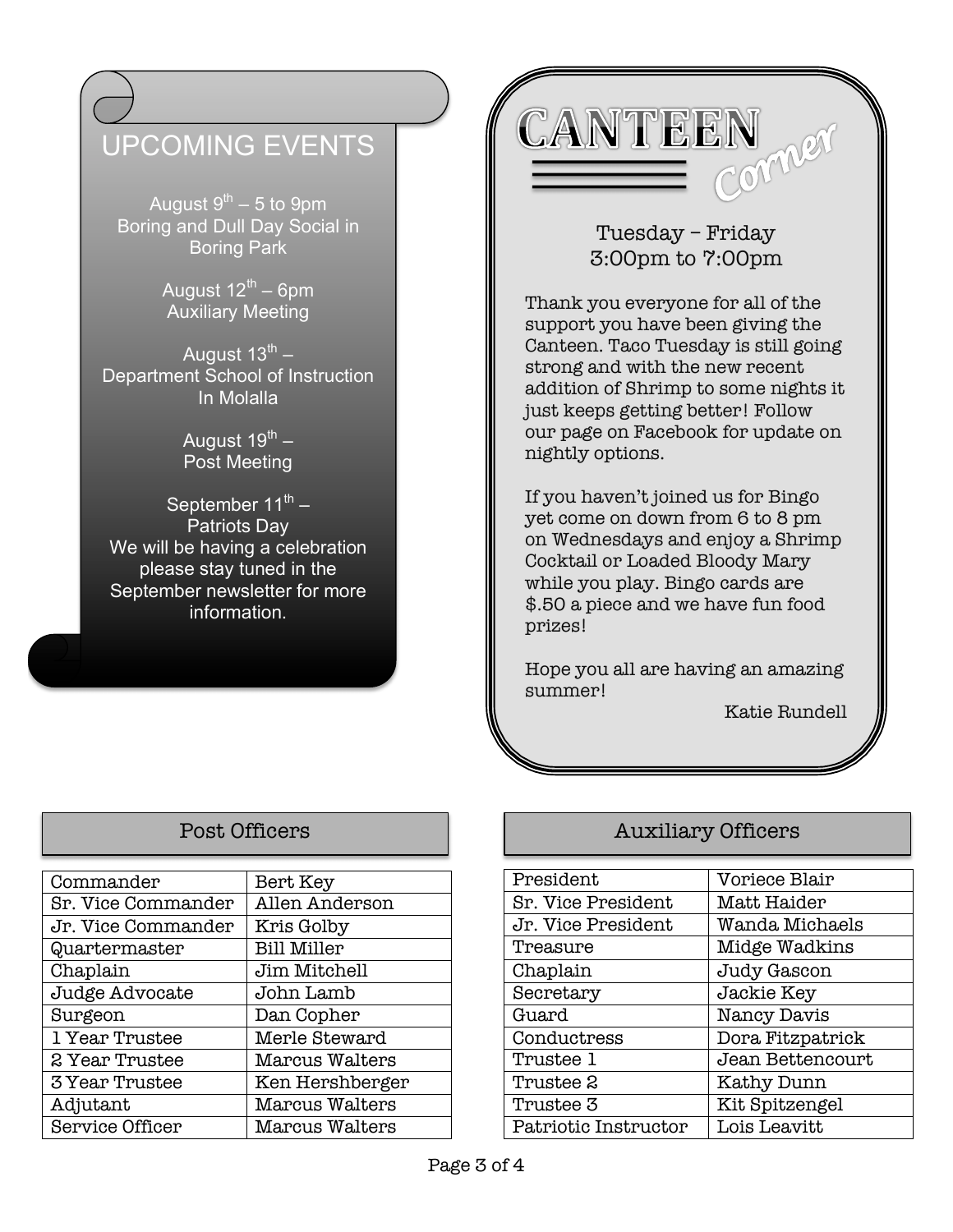## UPCOMING EVENTS

August  $9^{th}$  – 5 to 9pm Boring and Dull Day Social in Boring Park

> August  $12^{\text{th}} - 6$ pm Auxiliary Meeting

August  $13^{th}$  – Department School of Instruction In Molalla

> August  $19^{th}$  – Post Meeting

September  $11^{th}$  – Patriots Day We will be having a celebration please stay tuned in the September newsletter for more information.

CANTEEN Comper

## Tuesday – Friday 3:00pm to 7:00pm

Thank you everyone for all of the support you have been giving the Canteen. Taco Tuesday is still going strong and with the new recent addition of Shrimp to some nights it just keeps getting better! Follow our page on Facebook for update on nightly options.

If you haven't joined us for Bingo yet come on down from 6 to 8 pm on Wednesdays and enjoy a Shrimp Cocktail or Loaded Bloody Mary while you play. Bingo cards are \$.50 a piece and we have fun food prizes!

Hope you all are having an amazing summer!

Katie Rundell

| Commander              | Bert Key              |
|------------------------|-----------------------|
| Sr. Vice Commander     | Allen Anderson        |
| Jr. Vice Commander     | Kris Golby            |
| Quartermaster          | <b>Bill Miller</b>    |
| Chaplain               | Jim Mitchell          |
| Judge Advocate         | John Lamb             |
| Surgeon                | Dan Copher            |
| 1 Year Trustee         | Merle Steward         |
| 2 Year Trustee         | Marcus Walters        |
| <b>3 Year Trustee</b>  | Ken Hershberger       |
| Adjutant               | <b>Marcus Walters</b> |
| <b>Service Officer</b> | Marcus Walters        |

## Post Officers **Auxiliary Officers**

| President            | Voriece Blair    |
|----------------------|------------------|
| Sr. Vice President   | Matt Haider      |
| Jr. Vice President   | Wanda Michaels   |
| Treasure             | Midge Wadkins    |
| Chaplain             | Judy Gascon      |
| Secretary            | Jackie Key       |
| Guard                | Nancy Davis      |
| Conductress          | Dora Fitzpatrick |
| Trustee 1            | Jean Bettencourt |
| Trustee 2            | Kathy Dunn       |
| Trustee 3            | Kit Spitzengel   |
| Patriotic Instructor | Lois Leavitt     |